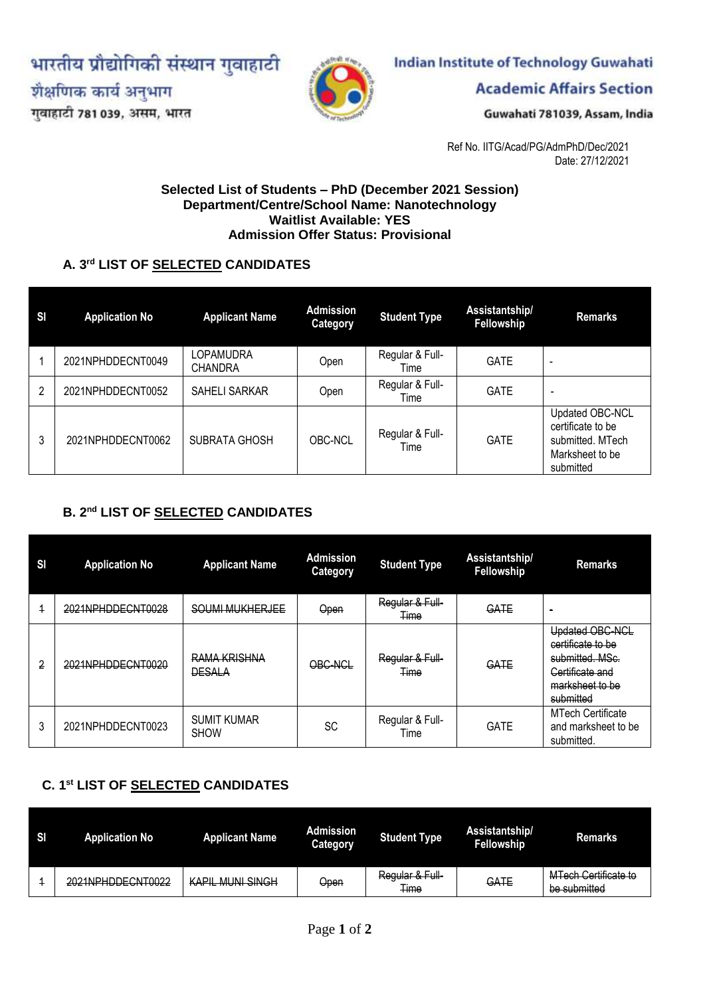भारतीय प्रौद्योगिकी संस्थान गुवाहाटी

शैक्षणिक कार्य अनुभाग

गवाहाटी 781 039, असम, भारत



## **Indian Institute of Technology Guwahati**

**Academic Affairs Section** 

Guwahati 781039, Assam, India

Ref No. IITG/Acad/PG/AdmPhD/Dec/2021 Date: 27/12/2021

#### **Selected List of Students – PhD (December 2021 Session) Department/Centre/School Name: Nanotechnology Waitlist Available: YES Admission Offer Status: Provisional**

#### **A. 3 rd LIST OF SELECTED CANDIDATES**

| SI | <b>Application No</b> | <b>Applicant Name</b>              | <b>Admission</b><br>Category | <b>Student Type</b>     | Assistantship/<br>Fellowship | <b>Remarks</b>                                                                           |
|----|-----------------------|------------------------------------|------------------------------|-------------------------|------------------------------|------------------------------------------------------------------------------------------|
|    | 2021NPHDDECNT0049     | <b>LOPAMUDRA</b><br><b>CHANDRA</b> | Open                         | Regular & Full-<br>Time | <b>GATE</b>                  | $\overline{\phantom{a}}$                                                                 |
| 2  | 2021NPHDDECNT0052     | SAHELI SARKAR                      | Open                         | Regular & Full-<br>Time | <b>GATE</b>                  | -                                                                                        |
| 3  | 2021NPHDDECNT0062     | SUBRATA GHOSH                      | OBC-NCL                      | Regular & Full-<br>Time | <b>GATE</b>                  | Updated OBC-NCL<br>certificate to be<br>submitted, MTech<br>Marksheet to be<br>submitted |

### **B. 2nd LIST OF SELECTED CANDIDATES**

| SI | <b>Application No</b> | <b>Applicant Name</b>             | <b>Admission</b><br>Category | <b>Student Type</b>            | Assistantship/<br>Fellowship | <b>Remarks</b>                                                                                             |
|----|-----------------------|-----------------------------------|------------------------------|--------------------------------|------------------------------|------------------------------------------------------------------------------------------------------------|
| 4  | 2021NPHDDECNT0028     | <b>SOUMI MUKHERJEE</b>            | Open                         | Regular & Full-<br><b>Time</b> | GATE                         | $\sim$                                                                                                     |
| 2  | 2021NPHDDECNT0020     | RAMA KRISHNA<br><b>DESALA</b>     | <b>OBC-NCL</b>               | Regular & Full<br>Time         | GATE                         | Updated OBC-NCL<br>certificate to be<br>submitted. MSc.<br>Certificate and<br>marksheet to be<br>submitted |
| 3  | 2021NPHDDECNT0023     | <b>SUMIT KUMAR</b><br><b>SHOW</b> | <b>SC</b>                    | Regular & Full-<br>Time        | <b>GATE</b>                  | <b>MTech Certificate</b><br>and marksheet to be<br>submitted.                                              |

# **C. 1 st LIST OF SELECTED CANDIDATES**

| <b>SI</b> | <b>Application No</b>                                    | <b>Applicant Name</b>   | Admission<br><b>Category</b> | <b>Student Type</b>     | Assistantship/<br>Fellowship | <b>Remarks</b>                       |
|-----------|----------------------------------------------------------|-------------------------|------------------------------|-------------------------|------------------------------|--------------------------------------|
|           | 0001NDHDDECNIT0022<br><del>ZUZ IINFIIDDE ON I UUZZ</del> | <b>KAPIL MUNI SINGH</b> | <del>Open</del>              | Regular & Full-<br>Time | GATE                         | MTech Certificate to<br>be submitted |